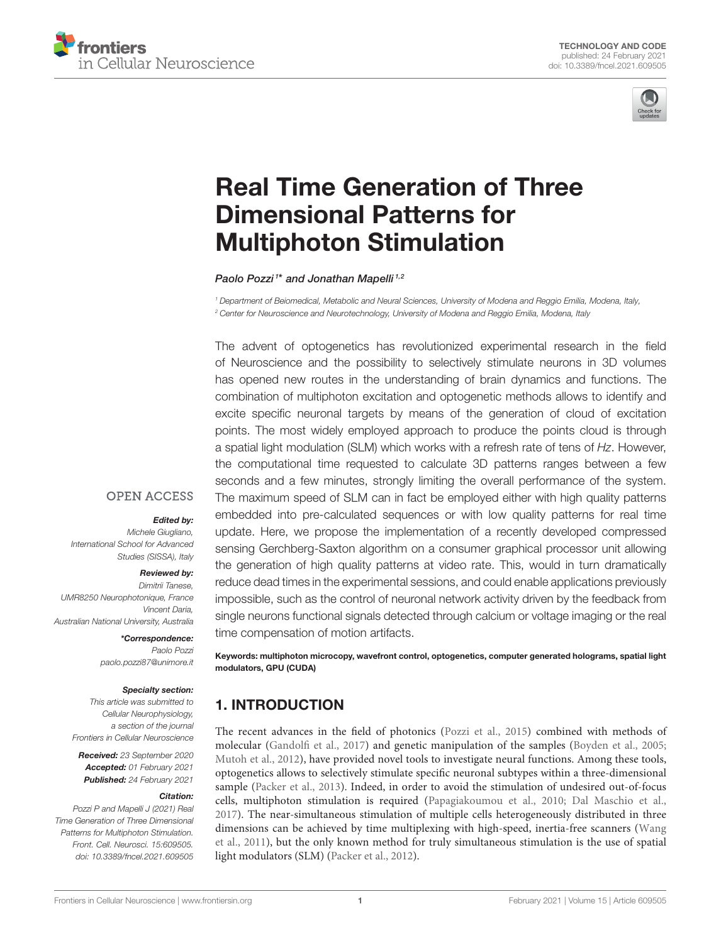



# [Real Time Generation of Three](https://www.frontiersin.org/articles/10.3389/fncel.2021.609505/full) Dimensional Patterns for Multiphoton Stimulation

#### Paolo Pozzi<sup>1\*</sup> and Jonathan Mapelli<sup>1,2</sup>

*<sup>1</sup> Department of Beiomedical, Metabolic and Neural Sciences, University of Modena and Reggio Emilia, Modena, Italy, <sup>2</sup> Center for Neuroscience and Neurotechnology, University of Modena and Reggio Emilia, Modena, Italy*

The advent of optogenetics has revolutionized experimental research in the field of Neuroscience and the possibility to selectively stimulate neurons in 3D volumes has opened new routes in the understanding of brain dynamics and functions. The combination of multiphoton excitation and optogenetic methods allows to identify and excite specific neuronal targets by means of the generation of cloud of excitation points. The most widely employed approach to produce the points cloud is through a spatial light modulation (SLM) which works with a refresh rate of tens of *Hz*. However, the computational time requested to calculate 3D patterns ranges between a few seconds and a few minutes, strongly limiting the overall performance of the system. The maximum speed of SLM can in fact be employed either with high quality patterns embedded into pre-calculated sequences or with low quality patterns for real time update. Here, we propose the implementation of a recently developed compressed sensing Gerchberg-Saxton algorithm on a consumer graphical processor unit allowing the generation of high quality patterns at video rate. This, would in turn dramatically reduce dead times in the experimental sessions, and could enable applications previously impossible, such as the control of neuronal network activity driven by the feedback from single neurons functional signals detected through calcium or voltage imaging or the real time compensation of motion artifacts.

## **OPEN ACCESS**

#### Edited by:

*Michele Giugliano, International School for Advanced Studies (SISSA), Italy*

#### Reviewed by:

*Dimitrii Tanese, UMR8250 Neurophotonique, France Vincent Daria, Australian National University, Australia*

# \*Correspondence:

*Paolo Pozzi [paolo.pozzi87@unimore.it](mailto:paolo.pozzi87@unimore.it)*

#### Specialty section:

*This article was submitted to Cellular Neurophysiology, a section of the journal Frontiers in Cellular Neuroscience*

Received: *23 September 2020* Accepted: *01 February 2021* Published: *24 February 2021*

#### Citation:

*Pozzi P and Mapelli J (2021) Real Time Generation of Three Dimensional Patterns for Multiphoton Stimulation. Front. Cell. Neurosci. 15:609505. doi: [10.3389/fncel.2021.609505](https://doi.org/10.3389/fncel.2021.609505)*

Keywords: multiphoton microcopy, wavefront control, optogenetics, computer generated holograms, spatial light modulators, GPU (CUDA)

# 1. INTRODUCTION

The recent advances in the field of photonics [\(Pozzi et al., 2015\)](#page-9-0) combined with methods of molecular [\(Gandolfi et al., 2017\)](#page-9-1) and genetic manipulation of the samples [\(Boyden et al., 2005;](#page-8-0) [Mutoh et al., 2012\)](#page-9-2), have provided novel tools to investigate neural functions. Among these tools, optogenetics allows to selectively stimulate specific neuronal subtypes within a three-dimensional sample [\(Packer et al., 2013\)](#page-9-3). Indeed, in order to avoid the stimulation of undesired out-of-focus cells, multiphoton stimulation is required [\(Papagiakoumou et al., 2010;](#page-9-4) [Dal Maschio et al.,](#page-8-1) [2017\)](#page-8-1). The near-simultaneous stimulation of multiple cells heterogeneously distributed in three dimensions can be achieved by time multiplexing with high-speed, inertia-free scanners (Wang et al., [2011\)](#page-9-5), but the only known method for truly simultaneous stimulation is the use of spatial light modulators (SLM) [\(Packer et al., 2012\)](#page-9-6).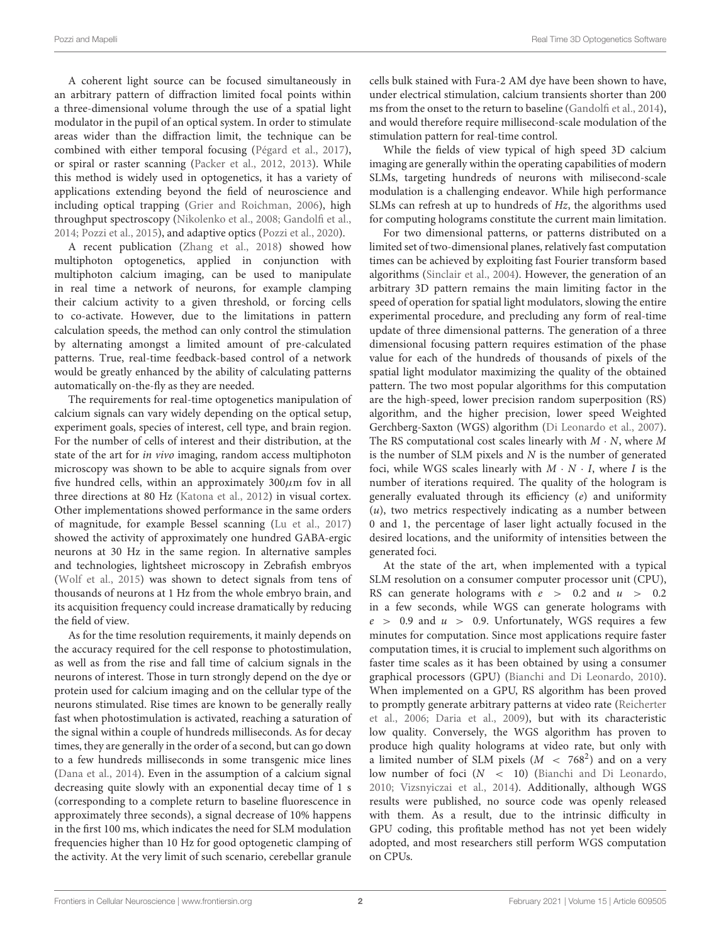A coherent light source can be focused simultaneously in an arbitrary pattern of diffraction limited focal points within a three-dimensional volume through the use of a spatial light modulator in the pupil of an optical system. In order to stimulate areas wider than the diffraction limit, the technique can be combined with either temporal focusing [\(Pégard et al., 2017\)](#page-9-7), or spiral or raster scanning [\(Packer et al., 2012,](#page-9-6) [2013\)](#page-9-3). While this method is widely used in optogenetics, it has a variety of applications extending beyond the field of neuroscience and including optical trapping [\(Grier and Roichman, 2006\)](#page-9-8), high throughput spectroscopy [\(Nikolenko et al., 2008;](#page-9-9) [Gandolfi et al.,](#page-9-10) [2014;](#page-9-10) [Pozzi et al., 2015\)](#page-9-0), and adaptive optics [\(Pozzi et al., 2020\)](#page-9-11).

A recent publication [\(Zhang et al., 2018\)](#page-9-12) showed how multiphoton optogenetics, applied in conjunction with multiphoton calcium imaging, can be used to manipulate in real time a network of neurons, for example clamping their calcium activity to a given threshold, or forcing cells to co-activate. However, due to the limitations in pattern calculation speeds, the method can only control the stimulation by alternating amongst a limited amount of pre-calculated patterns. True, real-time feedback-based control of a network would be greatly enhanced by the ability of calculating patterns automatically on-the-fly as they are needed.

The requirements for real-time optogenetics manipulation of calcium signals can vary widely depending on the optical setup, experiment goals, species of interest, cell type, and brain region. For the number of cells of interest and their distribution, at the state of the art for in vivo imaging, random access multiphoton microscopy was shown to be able to acquire signals from over five hundred cells, within an approximately  $300 \mu m$  fov in all three directions at 80 Hz [\(Katona et al., 2012\)](#page-9-13) in visual cortex. Other implementations showed performance in the same orders of magnitude, for example Bessel scanning [\(Lu et al., 2017\)](#page-9-14) showed the activity of approximately one hundred GABA-ergic neurons at 30 Hz in the same region. In alternative samples and technologies, lightsheet microscopy in Zebrafish embryos [\(Wolf et al., 2015\)](#page-9-15) was shown to detect signals from tens of thousands of neurons at 1 Hz from the whole embryo brain, and its acquisition frequency could increase dramatically by reducing the field of view.

As for the time resolution requirements, it mainly depends on the accuracy required for the cell response to photostimulation, as well as from the rise and fall time of calcium signals in the neurons of interest. Those in turn strongly depend on the dye or protein used for calcium imaging and on the cellular type of the neurons stimulated. Rise times are known to be generally really fast when photostimulation is activated, reaching a saturation of the signal within a couple of hundreds milliseconds. As for decay times, they are generally in the order of a second, but can go down to a few hundreds milliseconds in some transgenic mice lines [\(Dana et al., 2014\)](#page-9-16). Even in the assumption of a calcium signal decreasing quite slowly with an exponential decay time of 1 s (corresponding to a complete return to baseline fluorescence in approximately three seconds), a signal decrease of 10% happens in the first 100 ms, which indicates the need for SLM modulation frequencies higher than 10 Hz for good optogenetic clamping of the activity. At the very limit of such scenario, cerebellar granule cells bulk stained with Fura-2 AM dye have been shown to have, under electrical stimulation, calcium transients shorter than 200 ms from the onset to the return to baseline [\(Gandolfi et al., 2014\)](#page-9-10), and would therefore require millisecond-scale modulation of the stimulation pattern for real-time control.

While the fields of view typical of high speed 3D calcium imaging are generally within the operating capabilities of modern SLMs, targeting hundreds of neurons with milisecond-scale modulation is a challenging endeavor. While high performance SLMs can refresh at up to hundreds of Hz, the algorithms used for computing holograms constitute the current main limitation.

For two dimensional patterns, or patterns distributed on a limited set of two-dimensional planes, relatively fast computation times can be achieved by exploiting fast Fourier transform based algorithms [\(Sinclair et al., 2004\)](#page-9-17). However, the generation of an arbitrary 3D pattern remains the main limiting factor in the speed of operation for spatial light modulators, slowing the entire experimental procedure, and precluding any form of real-time update of three dimensional patterns. The generation of a three dimensional focusing pattern requires estimation of the phase value for each of the hundreds of thousands of pixels of the spatial light modulator maximizing the quality of the obtained pattern. The two most popular algorithms for this computation are the high-speed, lower precision random superposition (RS) algorithm, and the higher precision, lower speed Weighted Gerchberg-Saxton (WGS) algorithm [\(Di Leonardo et al., 2007\)](#page-9-18). The RS computational cost scales linearly with  $M \cdot N$ , where M is the number of SLM pixels and  $N$  is the number of generated foci, while WGS scales linearly with  $M \cdot N \cdot I$ , where I is the number of iterations required. The quality of the hologram is generally evaluated through its efficiency (e) and uniformity (u), two metrics respectively indicating as a number between 0 and 1, the percentage of laser light actually focused in the desired locations, and the uniformity of intensities between the generated foci.

At the state of the art, when implemented with a typical SLM resolution on a consumer computer processor unit (CPU), RS can generate holograms with  $e > 0.2$  and  $u > 0.2$ in a few seconds, while WGS can generate holograms with  $e > 0.9$  and  $u > 0.9$ . Unfortunately, WGS requires a few minutes for computation. Since most applications require faster computation times, it is crucial to implement such algorithms on faster time scales as it has been obtained by using a consumer graphical processors (GPU) [\(Bianchi and Di Leonardo, 2010\)](#page-8-2). When implemented on a GPU, RS algorithm has been proved to promptly generate arbitrary patterns at video rate (Reicherter et al., [2006;](#page-9-19) [Daria et al., 2009\)](#page-9-20), but with its characteristic low quality. Conversely, the WGS algorithm has proven to produce high quality holograms at video rate, but only with a limited number of SLM pixels  $(M < 768<sup>2</sup>)$  and on a very low number of foci  $(N < 10)$  [\(Bianchi and Di Leonardo,](#page-8-2) [2010;](#page-8-2) [Vizsnyiczai et al., 2014\)](#page-9-21). Additionally, although WGS results were published, no source code was openly released with them. As a result, due to the intrinsic difficulty in GPU coding, this profitable method has not yet been widely adopted, and most researchers still perform WGS computation on CPUs.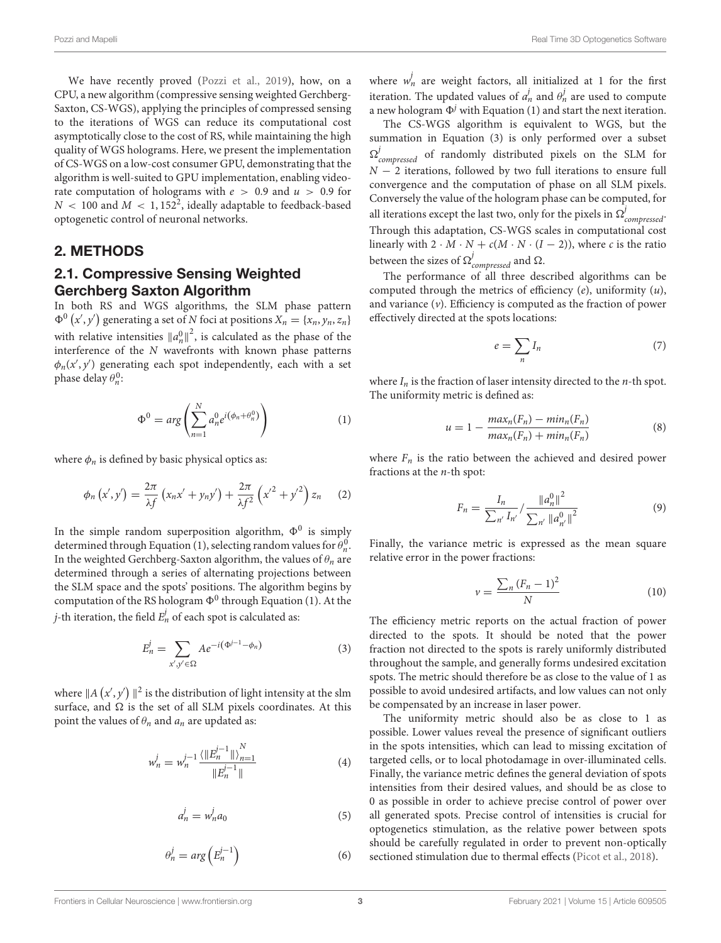We have recently proved [\(Pozzi et al., 2019\)](#page-9-22), how, on a CPU, a new algorithm (compressive sensing weighted Gerchberg-Saxton, CS-WGS), applying the principles of compressed sensing to the iterations of WGS can reduce its computational cost asymptotically close to the cost of RS, while maintaining the high quality of WGS holograms. Here, we present the implementation of CS-WGS on a low-cost consumer GPU, demonstrating that the algorithm is well-suited to GPU implementation, enabling videorate computation of holograms with  $e > 0.9$  and  $u > 0.9$  for  $N \, < \, 100$  and  $M \, < \, 1,152^2,$  ideally adaptable to feedback-based optogenetic control of neuronal networks.

## 2. METHODS

## 2.1. Compressive Sensing Weighted Gerchberg Saxton Algorithm

In both RS and WGS algorithms, the SLM phase pattern  $\Phi^0(x', y')$  generating a set of N foci at positions  $X_n = \{x_n, y_n, z_n\}$ with relative intensities  $\|a_n^0\|^2$ , is calculated as the phase of the interference of the N wavefronts with known phase patterns  $\phi_n(x', y')$  generating each spot independently, each with a set phase delay  $\theta_n^0$ :

$$
\Phi^0 = arg \left( \sum_{n=1}^N a_n^0 e^{i \left( \phi_n + \theta_n^0 \right)} \right) \tag{1}
$$

where  $\phi_n$  is defined by basic physical optics as:

$$
\phi_n(x',y') = \frac{2\pi}{\lambda f}\left(x_nx' + y_ny'\right) + \frac{2\pi}{\lambda f^2}\left(x'^2 + y'^2\right)z_n \quad (2)
$$

In the simple random superposition algorithm,  $\Phi^0$  is simply determined through Equation (1), selecting random values for  $\theta_n^0$ . In the weighted Gerchberg-Saxton algorithm, the values of  $\theta_n$  are determined through a series of alternating projections between the SLM space and the spots' positions. The algorithm begins by computation of the RS hologram  $\Phi^0$  through Equation (1). At the j-th iteration, the field  $E_n^j$  of each spot is calculated as:

$$
E_n^j = \sum_{x',y' \in \Omega} A e^{-i(\Phi^{j-1} - \phi_n)}
$$
 (3)

where  $\|A\left(x',y'\right)\|^2$  is the distribution of light intensity at the slm surface, and  $\Omega$  is the set of all SLM pixels coordinates. At this point the values of  $\theta_n$  and  $a_n$  are updated as:

$$
w_n^j = w_n^{j-1} \frac{\langle ||E_n^{j-1}|| \rangle_{n=1}^N}{||E_n^{j-1}||} \tag{4}
$$

$$
a_n^j = w_n^j a_0 \tag{5}
$$

$$
\theta_n^j = arg\left(E_n^{j-1}\right) \tag{6}
$$

where  $w_n^j$  are weight factors, all initialized at 1 for the first iteration. The updated values of  $a_n^j$  and  $\theta_n^j$  are used to compute a new hologram  $\Phi^j$  with Equation (1) and start the next iteration.

The CS-WGS algorithm is equivalent to WGS, but the summation in Equation (3) is only performed over a subset  $\Omega_{compressed}^j$  of randomly distributed pixels on the SLM for  $N-2$  iterations, followed by two full iterations to ensure full convergence and the computation of phase on all SLM pixels. Conversely the value of the hologram phase can be computed, for all iterations except the last two, only for the pixels in  $\Omega_{compressed}^j$ . Through this adaptation, CS-WGS scales in computational cost linearly with  $2 \cdot M \cdot N + c(M \cdot N \cdot (I - 2))$ , where c is the ratio between the sizes of  $\Omega_{compressed}^j$  and  $\Omega$ .

The performance of all three described algorithms can be computed through the metrics of efficiency  $(e)$ , uniformity  $(u)$ , and variance  $(v)$ . Efficiency is computed as the fraction of power effectively directed at the spots locations:

$$
e = \sum_{n} I_n \tag{7}
$$

where  $I_n$  is the fraction of laser intensity directed to the *n*-th spot. The uniformity metric is defined as:

$$
u = 1 - \frac{max_n(F_n) - min_n(F_n)}{max_n(F_n) + min_n(F_n)}
$$
(8)

where  $F_n$  is the ratio between the achieved and desired power fractions at the  $n$ -th spot:

$$
F_n = \frac{I_n}{\sum_{n'} I_{n'}} / \frac{\|a_n^0\|^2}{\sum_{n'} \|a_{n'}^0\|^2}
$$
(9)

Finally, the variance metric is expressed as the mean square relative error in the power fractions:

$$
v = \frac{\sum_{n} (F_n - 1)^2}{N}
$$
 (10)

The efficiency metric reports on the actual fraction of power directed to the spots. It should be noted that the power fraction not directed to the spots is rarely uniformly distributed throughout the sample, and generally forms undesired excitation spots. The metric should therefore be as close to the value of 1 as possible to avoid undesired artifacts, and low values can not only be compensated by an increase in laser power.

The uniformity metric should also be as close to 1 as possible. Lower values reveal the presence of significant outliers in the spots intensities, which can lead to missing excitation of targeted cells, or to local photodamage in over-illuminated cells. Finally, the variance metric defines the general deviation of spots intensities from their desired values, and should be as close to 0 as possible in order to achieve precise control of power over all generated spots. Precise control of intensities is crucial for optogenetics stimulation, as the relative power between spots should be carefully regulated in order to prevent non-optically sectioned stimulation due to thermal effects [\(Picot et al., 2018\)](#page-9-23).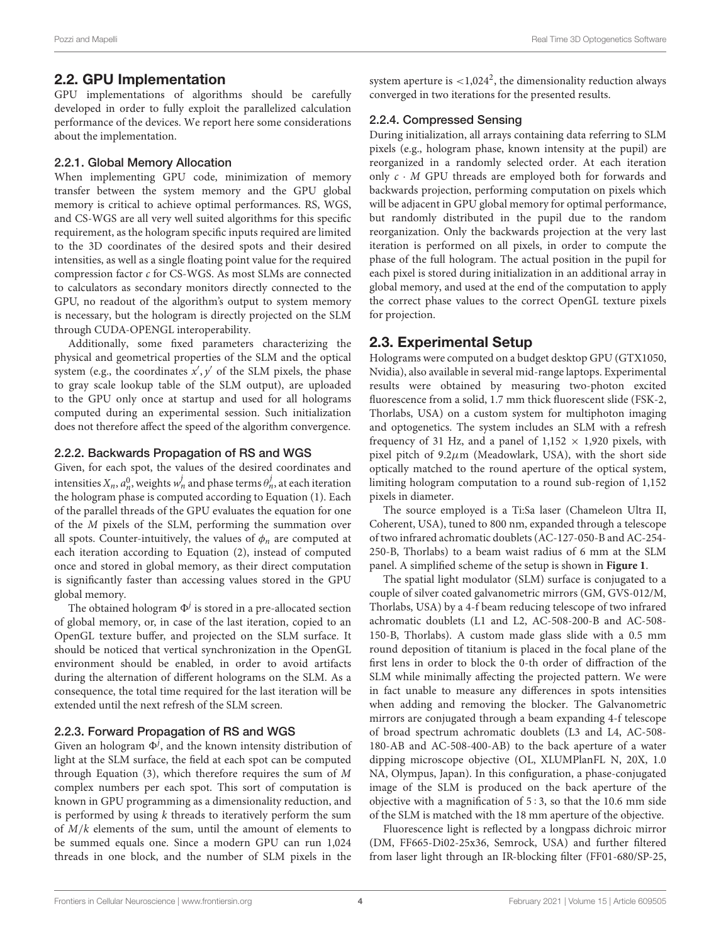## 2.2. GPU Implementation

GPU implementations of algorithms should be carefully developed in order to fully exploit the parallelized calculation performance of the devices. We report here some considerations about the implementation.

### 2.2.1. Global Memory Allocation

When implementing GPU code, minimization of memory transfer between the system memory and the GPU global memory is critical to achieve optimal performances. RS, WGS, and CS-WGS are all very well suited algorithms for this specific requirement, as the hologram specific inputs required are limited to the 3D coordinates of the desired spots and their desired intensities, as well as a single floating point value for the required compression factor c for CS-WGS. As most SLMs are connected to calculators as secondary monitors directly connected to the GPU, no readout of the algorithm's output to system memory is necessary, but the hologram is directly projected on the SLM through CUDA-OPENGL interoperability.

Additionally, some fixed parameters characterizing the physical and geometrical properties of the SLM and the optical system (e.g., the coordinates  $x', y'$  of the SLM pixels, the phase to gray scale lookup table of the SLM output), are uploaded to the GPU only once at startup and used for all holograms computed during an experimental session. Such initialization does not therefore affect the speed of the algorithm convergence.

### 2.2.2. Backwards Propagation of RS and WGS

Given, for each spot, the values of the desired coordinates and intensities  $X_n$ ,  $a_n^0$ , weights  $w_n^j$  and phase terms  $\theta_n^j$ , at each iteration the hologram phase is computed according to Equation (1). Each of the parallel threads of the GPU evaluates the equation for one of the M pixels of the SLM, performing the summation over all spots. Counter-intuitively, the values of  $\phi_n$  are computed at each iteration according to Equation (2), instead of computed once and stored in global memory, as their direct computation is significantly faster than accessing values stored in the GPU global memory.

The obtained hologram  $\Phi^j$  is stored in a pre-allocated section of global memory, or, in case of the last iteration, copied to an OpenGL texture buffer, and projected on the SLM surface. It should be noticed that vertical synchronization in the OpenGL environment should be enabled, in order to avoid artifacts during the alternation of different holograms on the SLM. As a consequence, the total time required for the last iteration will be extended until the next refresh of the SLM screen.

## 2.2.3. Forward Propagation of RS and WGS

Given an hologram  $\Phi^j$ , and the known intensity distribution of light at the SLM surface, the field at each spot can be computed through Equation (3), which therefore requires the sum of  $M$ complex numbers per each spot. This sort of computation is known in GPU programming as a dimensionality reduction, and is performed by using  $k$  threads to iteratively perform the sum of  $M/k$  elements of the sum, until the amount of elements to be summed equals one. Since a modern GPU can run 1,024 threads in one block, and the number of SLM pixels in the

system aperture is  $<$ 1,024<sup>2</sup>, the dimensionality reduction always converged in two iterations for the presented results.

## 2.2.4. Compressed Sensing

During initialization, all arrays containing data referring to SLM pixels (e.g., hologram phase, known intensity at the pupil) are reorganized in a randomly selected order. At each iteration only  $c \cdot M$  GPU threads are employed both for forwards and backwards projection, performing computation on pixels which will be adjacent in GPU global memory for optimal performance, but randomly distributed in the pupil due to the random reorganization. Only the backwards projection at the very last iteration is performed on all pixels, in order to compute the phase of the full hologram. The actual position in the pupil for each pixel is stored during initialization in an additional array in global memory, and used at the end of the computation to apply the correct phase values to the correct OpenGL texture pixels for projection.

## 2.3. Experimental Setup

Holograms were computed on a budget desktop GPU (GTX1050, Nvidia), also available in several mid-range laptops. Experimental results were obtained by measuring two-photon excited fluorescence from a solid, 1.7 mm thick fluorescent slide (FSK-2, Thorlabs, USA) on a custom system for multiphoton imaging and optogenetics. The system includes an SLM with a refresh frequency of 31 Hz, and a panel of  $1,152 \times 1,920$  pixels, with pixel pitch of  $9.2\mu$ m (Meadowlark, USA), with the short side optically matched to the round aperture of the optical system, limiting hologram computation to a round sub-region of 1,152 pixels in diameter.

The source employed is a Ti:Sa laser (Chameleon Ultra II, Coherent, USA), tuned to 800 nm, expanded through a telescope of two infrared achromatic doublets (AC-127-050-B and AC-254- 250-B, Thorlabs) to a beam waist radius of 6 mm at the SLM panel. A simplified scheme of the setup is shown in **[Figure 1](#page-4-0)**.

The spatial light modulator (SLM) surface is conjugated to a couple of silver coated galvanometric mirrors (GM, GVS-012/M, Thorlabs, USA) by a 4-f beam reducing telescope of two infrared achromatic doublets (L1 and L2, AC-508-200-B and AC-508- 150-B, Thorlabs). A custom made glass slide with a 0.5 mm round deposition of titanium is placed in the focal plane of the first lens in order to block the 0-th order of diffraction of the SLM while minimally affecting the projected pattern. We were in fact unable to measure any differences in spots intensities when adding and removing the blocker. The Galvanometric mirrors are conjugated through a beam expanding 4-f telescope of broad spectrum achromatic doublets (L3 and L4, AC-508- 180-AB and AC-508-400-AB) to the back aperture of a water dipping microscope objective (OL, XLUMPlanFL N, 20X, 1.0 NA, Olympus, Japan). In this configuration, a phase-conjugated image of the SLM is produced on the back aperture of the objective with a magnification of 5 : 3, so that the 10.6 mm side of the SLM is matched with the 18 mm aperture of the objective.

Fluorescence light is reflected by a longpass dichroic mirror (DM, FF665-Di02-25x36, Semrock, USA) and further filtered from laser light through an IR-blocking filter (FF01-680/SP-25,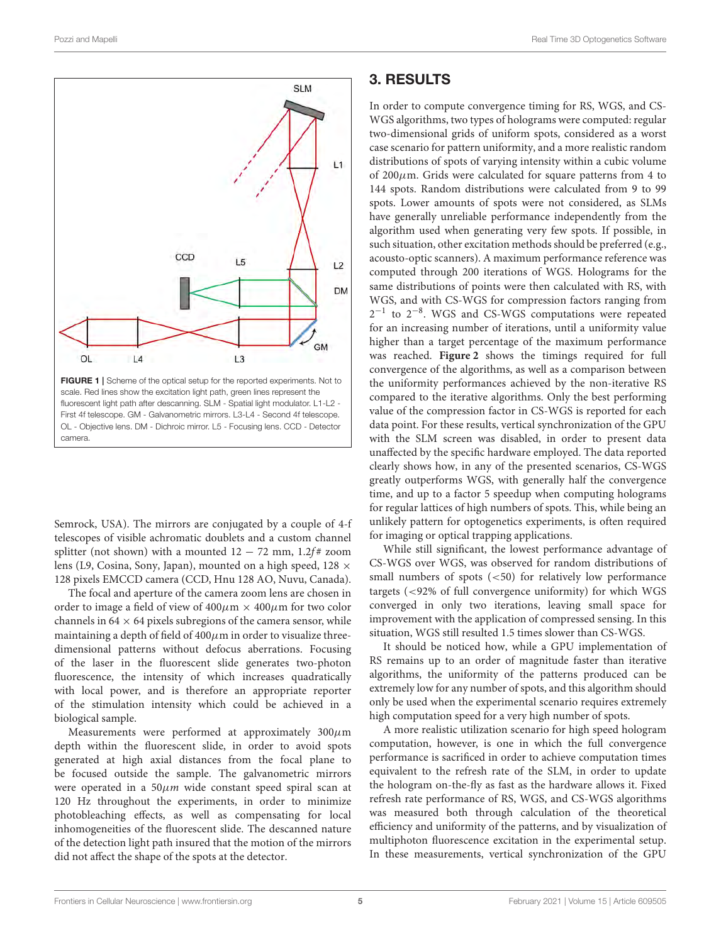

<span id="page-4-0"></span>FIGURE 1 | Scheme of the optical setup for the reported experiments. Not to scale. Red lines show the excitation light path, green lines represent the fluorescent light path after descanning. SLM - Spatial light modulator. L1-L2 - First 4f telescope. GM - Galvanometric mirrors. L3-L4 - Second 4f telescope. OL - Objective lens. DM - Dichroic mirror. L5 - Focusing lens. CCD - Detector camera.

Semrock, USA). The mirrors are conjugated by a couple of 4-f telescopes of visible achromatic doublets and a custom channel splitter (not shown) with a mounted  $12 - 72$  mm,  $1.2f$ # zoom lens (L9, Cosina, Sony, Japan), mounted on a high speed, 128 × 128 pixels EMCCD camera (CCD, Hnu 128 AO, Nuvu, Canada).

The focal and aperture of the camera zoom lens are chosen in order to image a field of view of  $400 \mu m \times 400 \mu m$  for two color channels in  $64 \times 64$  pixels subregions of the camera sensor, while maintaining a depth of field of  $400 \mu$ m in order to visualize threedimensional patterns without defocus aberrations. Focusing of the laser in the fluorescent slide generates two-photon fluorescence, the intensity of which increases quadratically with local power, and is therefore an appropriate reporter of the stimulation intensity which could be achieved in a biological sample.

Measurements were performed at approximately  $300 \mu m$ depth within the fluorescent slide, in order to avoid spots generated at high axial distances from the focal plane to be focused outside the sample. The galvanometric mirrors were operated in a  $50\mu m$  wide constant speed spiral scan at 120 Hz throughout the experiments, in order to minimize photobleaching effects, as well as compensating for local inhomogeneities of the fluorescent slide. The descanned nature of the detection light path insured that the motion of the mirrors did not affect the shape of the spots at the detector.

# 3. RESULTS

In order to compute convergence timing for RS, WGS, and CS-WGS algorithms, two types of holograms were computed: regular two-dimensional grids of uniform spots, considered as a worst case scenario for pattern uniformity, and a more realistic random distributions of spots of varying intensity within a cubic volume of  $200 \mu$ m. Grids were calculated for square patterns from 4 to 144 spots. Random distributions were calculated from 9 to 99 spots. Lower amounts of spots were not considered, as SLMs have generally unreliable performance independently from the algorithm used when generating very few spots. If possible, in such situation, other excitation methods should be preferred (e.g., acousto-optic scanners). A maximum performance reference was computed through 200 iterations of WGS. Holograms for the same distributions of points were then calculated with RS, with WGS, and with CS-WGS for compression factors ranging from 2<sup>-1</sup> to 2<sup>-8</sup>. WGS and CS-WGS computations were repeated for an increasing number of iterations, until a uniformity value higher than a target percentage of the maximum performance was reached. **[Figure 2](#page-5-0)** shows the timings required for full convergence of the algorithms, as well as a comparison between the uniformity performances achieved by the non-iterative RS compared to the iterative algorithms. Only the best performing value of the compression factor in CS-WGS is reported for each data point. For these results, vertical synchronization of the GPU with the SLM screen was disabled, in order to present data unaffected by the specific hardware employed. The data reported clearly shows how, in any of the presented scenarios, CS-WGS greatly outperforms WGS, with generally half the convergence time, and up to a factor 5 speedup when computing holograms for regular lattices of high numbers of spots. This, while being an unlikely pattern for optogenetics experiments, is often required for imaging or optical trapping applications.

While still significant, the lowest performance advantage of CS-WGS over WGS, was observed for random distributions of small numbers of spots (<50) for relatively low performance targets (<92% of full convergence uniformity) for which WGS converged in only two iterations, leaving small space for improvement with the application of compressed sensing. In this situation, WGS still resulted 1.5 times slower than CS-WGS.

It should be noticed how, while a GPU implementation of RS remains up to an order of magnitude faster than iterative algorithms, the uniformity of the patterns produced can be extremely low for any number of spots, and this algorithm should only be used when the experimental scenario requires extremely high computation speed for a very high number of spots.

A more realistic utilization scenario for high speed hologram computation, however, is one in which the full convergence performance is sacrificed in order to achieve computation times equivalent to the refresh rate of the SLM, in order to update the hologram on-the-fly as fast as the hardware allows it. Fixed refresh rate performance of RS, WGS, and CS-WGS algorithms was measured both through calculation of the theoretical efficiency and uniformity of the patterns, and by visualization of multiphoton fluorescence excitation in the experimental setup. In these measurements, vertical synchronization of the GPU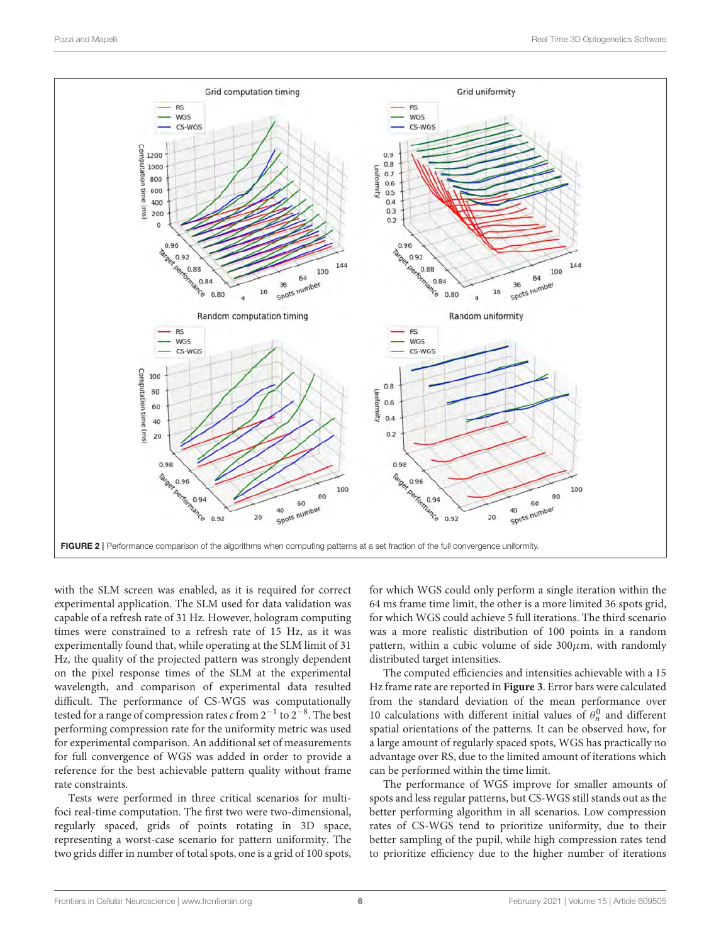![](_page_5_Figure_2.jpeg)

<span id="page-5-0"></span>with the SLM screen was enabled, as it is required for correct experimental application. The SLM used for data validation was capable of a refresh rate of 31 Hz. However, hologram computing times were constrained to a refresh rate of 15 Hz, as it was experimentally found that, while operating at the SLM limit of 31 Hz, the quality of the projected pattern was strongly dependent on the pixel response times of the SLM at the experimental wavelength, and comparison of experimental data resulted difficult. The performance of CS-WGS was computationally tested for a range of compression rates  $c$  from 2 $^{-1}$  to 2 $^{-8}$ . The best performing compression rate for the uniformity metric was used for experimental comparison. An additional set of measurements for full convergence of WGS was added in order to provide a reference for the best achievable pattern quality without frame rate constraints.

Tests were performed in three critical scenarios for multifoci real-time computation. The first two were two-dimensional, regularly spaced, grids of points rotating in 3D space, representing a worst-case scenario for pattern uniformity. The two grids differ in number of total spots, one is a grid of 100 spots, for which WGS could only perform a single iteration within the 64 ms frame time limit, the other is a more limited 36 spots grid, for which WGS could achieve 5 full iterations. The third scenario was a more realistic distribution of 100 points in a random pattern, within a cubic volume of side  $300 \mu$ m, with randomly distributed target intensities.

The computed efficiencies and intensities achievable with a 15 Hz frame rate are reported in **[Figure 3](#page-6-0)**. Error bars were calculated from the standard deviation of the mean performance over 10 calculations with different initial values of  $\theta_n^0$  and different spatial orientations of the patterns. It can be observed how, for a large amount of regularly spaced spots, WGS has practically no advantage over RS, due to the limited amount of iterations which can be performed within the time limit.

The performance of WGS improve for smaller amounts of spots and less regular patterns, but CS-WGS still stands out as the better performing algorithm in all scenarios. Low compression rates of CS-WGS tend to prioritize uniformity, due to their better sampling of the pupil, while high compression rates tend to prioritize efficiency due to the higher number of iterations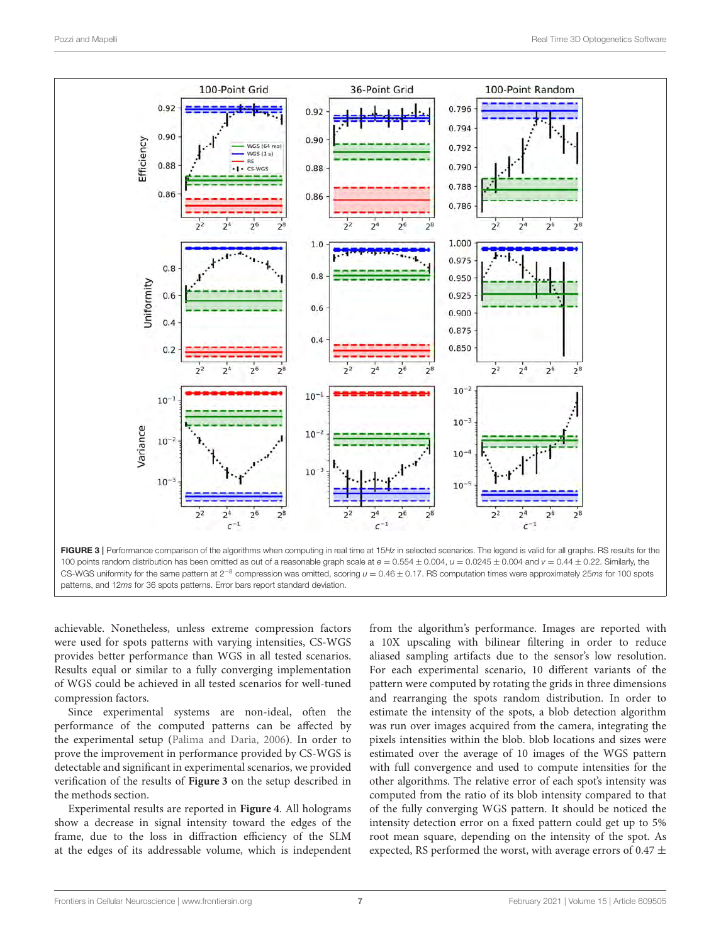![](_page_6_Figure_2.jpeg)

<span id="page-6-0"></span>achievable. Nonetheless, unless extreme compression factors were used for spots patterns with varying intensities, CS-WGS provides better performance than WGS in all tested scenarios. Results equal or similar to a fully converging implementation of WGS could be achieved in all tested scenarios for well-tuned compression factors.

Since experimental systems are non-ideal, often the performance of the computed patterns can be affected by the experimental setup [\(Palima and Daria, 2006\)](#page-9-24). In order to prove the improvement in performance provided by CS-WGS is detectable and significant in experimental scenarios, we provided verification of the results of **[Figure 3](#page-6-0)** on the setup described in the methods section.

Experimental results are reported in **[Figure 4](#page-7-0)**. All holograms show a decrease in signal intensity toward the edges of the frame, due to the loss in diffraction efficiency of the SLM at the edges of its addressable volume, which is independent from the algorithm's performance. Images are reported with a 10X upscaling with bilinear filtering in order to reduce aliased sampling artifacts due to the sensor's low resolution. For each experimental scenario, 10 different variants of the pattern were computed by rotating the grids in three dimensions and rearranging the spots random distribution. In order to estimate the intensity of the spots, a blob detection algorithm was run over images acquired from the camera, integrating the pixels intensities within the blob. blob locations and sizes were estimated over the average of 10 images of the WGS pattern with full convergence and used to compute intensities for the other algorithms. The relative error of each spot's intensity was computed from the ratio of its blob intensity compared to that of the fully converging WGS pattern. It should be noticed the intensity detection error on a fixed pattern could get up to 5% root mean square, depending on the intensity of the spot. As expected, RS performed the worst, with average errors of 0.47  $\pm$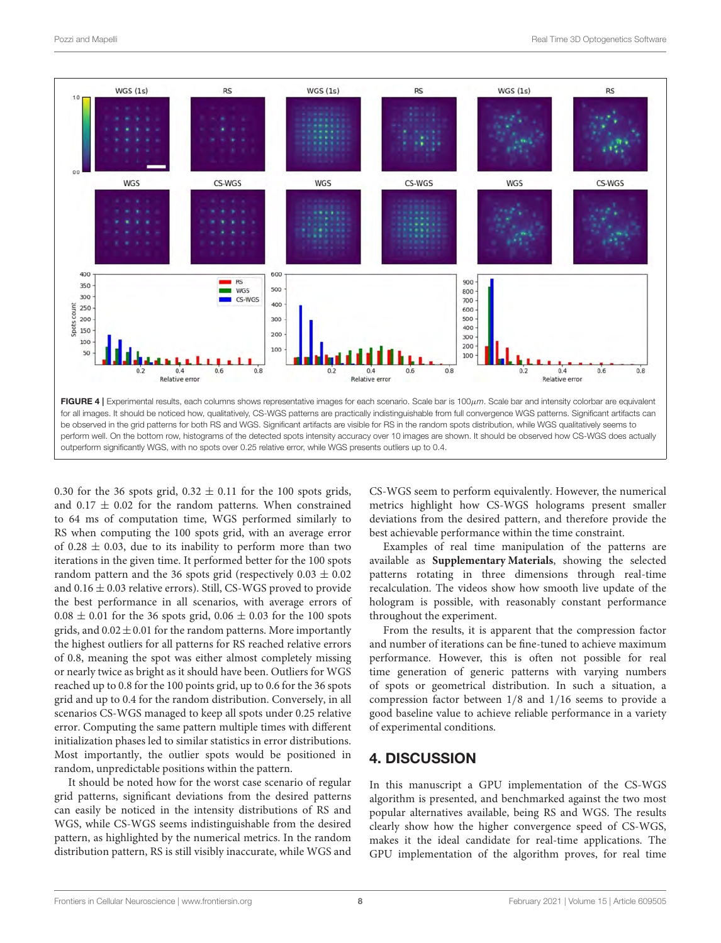![](_page_7_Figure_2.jpeg)

<span id="page-7-0"></span>0.30 for the 36 spots grid,  $0.32 \pm 0.11$  for the 100 spots grids, and  $0.17 \pm 0.02$  for the random patterns. When constrained to 64 ms of computation time, WGS performed similarly to RS when computing the 100 spots grid, with an average error of 0.28  $\pm$  0.03, due to its inability to perform more than two iterations in the given time. It performed better for the 100 spots random pattern and the 36 spots grid (respectively  $0.03 \pm 0.02$ ) and  $0.16 \pm 0.03$  relative errors). Still, CS-WGS proved to provide the best performance in all scenarios, with average errors of  $0.08 \pm 0.01$  for the 36 spots grid,  $0.06 \pm 0.03$  for the 100 spots grids, and  $0.02 \pm 0.01$  for the random patterns. More importantly the highest outliers for all patterns for RS reached relative errors of 0.8, meaning the spot was either almost completely missing or nearly twice as bright as it should have been. Outliers for WGS reached up to 0.8 for the 100 points grid, up to 0.6 for the 36 spots grid and up to 0.4 for the random distribution. Conversely, in all scenarios CS-WGS managed to keep all spots under 0.25 relative error. Computing the same pattern multiple times with different initialization phases led to similar statistics in error distributions. Most importantly, the outlier spots would be positioned in random, unpredictable positions within the pattern.

It should be noted how for the worst case scenario of regular grid patterns, significant deviations from the desired patterns can easily be noticed in the intensity distributions of RS and WGS, while CS-WGS seems indistinguishable from the desired pattern, as highlighted by the numerical metrics. In the random distribution pattern, RS is still visibly inaccurate, while WGS and CS-WGS seem to perform equivalently. However, the numerical metrics highlight how CS-WGS holograms present smaller deviations from the desired pattern, and therefore provide the best achievable performance within the time constraint.

Examples of real time manipulation of the patterns are available as **[Supplementary Materials](#page-8-3)**, showing the selected patterns rotating in three dimensions through real-time recalculation. The videos show how smooth live update of the hologram is possible, with reasonably constant performance throughout the experiment.

From the results, it is apparent that the compression factor and number of iterations can be fine-tuned to achieve maximum performance. However, this is often not possible for real time generation of generic patterns with varying numbers of spots or geometrical distribution. In such a situation, a compression factor between 1/8 and 1/16 seems to provide a good baseline value to achieve reliable performance in a variety of experimental conditions.

## 4. DISCUSSION

In this manuscript a GPU implementation of the CS-WGS algorithm is presented, and benchmarked against the two most popular alternatives available, being RS and WGS. The results clearly show how the higher convergence speed of CS-WGS, makes it the ideal candidate for real-time applications. The GPU implementation of the algorithm proves, for real time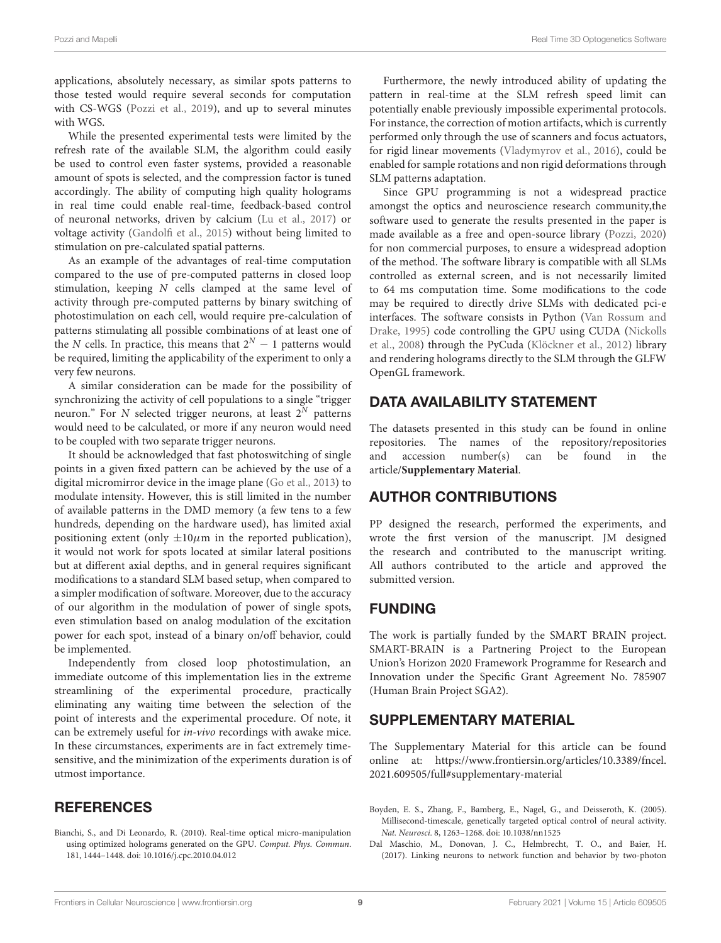applications, absolutely necessary, as similar spots patterns to those tested would require several seconds for computation with CS-WGS [\(Pozzi et al., 2019\)](#page-9-22), and up to several minutes with WGS.

While the presented experimental tests were limited by the refresh rate of the available SLM, the algorithm could easily be used to control even faster systems, provided a reasonable amount of spots is selected, and the compression factor is tuned accordingly. The ability of computing high quality holograms in real time could enable real-time, feedback-based control of neuronal networks, driven by calcium [\(Lu et al., 2017\)](#page-9-14) or voltage activity [\(Gandolfi et al., 2015\)](#page-9-25) without being limited to stimulation on pre-calculated spatial patterns.

As an example of the advantages of real-time computation compared to the use of pre-computed patterns in closed loop stimulation, keeping N cells clamped at the same level of activity through pre-computed patterns by binary switching of photostimulation on each cell, would require pre-calculation of patterns stimulating all possible combinations of at least one of the N cells. In practice, this means that  $2^N - 1$  patterns would be required, limiting the applicability of the experiment to only a very few neurons.

A similar consideration can be made for the possibility of synchronizing the activity of cell populations to a single "trigger neuron." For  $N$  selected trigger neurons, at least  $2^N$  patterns would need to be calculated, or more if any neuron would need to be coupled with two separate trigger neurons.

It should be acknowledged that fast photoswitching of single points in a given fixed pattern can be achieved by the use of a digital micromirror device in the image plane [\(Go et al., 2013\)](#page-9-26) to modulate intensity. However, this is still limited in the number of available patterns in the DMD memory (a few tens to a few hundreds, depending on the hardware used), has limited axial positioning extent (only  $\pm 10\mu$ m in the reported publication), it would not work for spots located at similar lateral positions but at different axial depths, and in general requires significant modifications to a standard SLM based setup, when compared to a simpler modification of software. Moreover, due to the accuracy of our algorithm in the modulation of power of single spots, even stimulation based on analog modulation of the excitation power for each spot, instead of a binary on/off behavior, could be implemented.

Independently from closed loop photostimulation, an immediate outcome of this implementation lies in the extreme streamlining of the experimental procedure, practically eliminating any waiting time between the selection of the point of interests and the experimental procedure. Of note, it can be extremely useful for in-vivo recordings with awake mice. In these circumstances, experiments are in fact extremely timesensitive, and the minimization of the experiments duration is of utmost importance.

# **REFERENCES**

<span id="page-8-2"></span>Bianchi, S., and Di Leonardo, R. (2010). Real-time optical micro-manipulation using optimized holograms generated on the GPU. Comput. Phys. Commun. 181, 1444–1448. doi: [10.1016/j.cpc.2010.04.012](https://doi.org/10.1016/j.cpc.2010.04.012)

Furthermore, the newly introduced ability of updating the pattern in real-time at the SLM refresh speed limit can potentially enable previously impossible experimental protocols. For instance, the correction of motion artifacts, which is currently performed only through the use of scanners and focus actuators, for rigid linear movements [\(Vladymyrov et al., 2016\)](#page-9-27), could be enabled for sample rotations and non rigid deformations through SLM patterns adaptation.

Since GPU programming is not a widespread practice amongst the optics and neuroscience research community,the software used to generate the results presented in the paper is made available as a free and open-source library [\(Pozzi, 2020\)](#page-9-28) for non commercial purposes, to ensure a widespread adoption of the method. The software library is compatible with all SLMs controlled as external screen, and is not necessarily limited to 64 ms computation time. Some modifications to the code may be required to directly drive SLMs with dedicated pci-e interfaces. The software consists in Python (Van Rossum and Drake, [1995\)](#page-9-29) code controlling the GPU using CUDA (Nickolls et al., [2008\)](#page-9-30) through the PyCuda [\(Klöckner et al., 2012\)](#page-9-31) library and rendering holograms directly to the SLM through the GLFW OpenGL framework.

# DATA AVAILABILITY STATEMENT

The datasets presented in this study can be found in online repositories. The names of the repository/repositories and accession number(s) can be found in the article/**[Supplementary Material](#page-8-3)**.

## AUTHOR CONTRIBUTIONS

PP designed the research, performed the experiments, and wrote the first version of the manuscript. JM designed the research and contributed to the manuscript writing. All authors contributed to the article and approved the submitted version.

# FUNDING

The work is partially funded by the SMART BRAIN project. SMART-BRAIN is a Partnering Project to the European Union's Horizon 2020 Framework Programme for Research and Innovation under the Specific Grant Agreement No. 785907 (Human Brain Project SGA2).

# SUPPLEMENTARY MATERIAL

<span id="page-8-3"></span>The Supplementary Material for this article can be found [online at: https://www.frontiersin.org/articles/10.3389/fncel.](https://www.frontiersin.org/articles/10.3389/fncel.2021.609505/full#supplementary-material) 2021.609505/full#supplementary-material

<span id="page-8-0"></span>Boyden, E. S., Zhang, F., Bamberg, E., Nagel, G., and Deisseroth, K. (2005). Millisecond-timescale, genetically targeted optical control of neural activity. Nat. Neurosci. 8, 1263–1268. doi: [10.1038/nn1525](https://doi.org/10.1038/nn1525)

<span id="page-8-1"></span>Dal Maschio, M., Donovan, J. C., Helmbrecht, T. O., and Baier, H. (2017). Linking neurons to network function and behavior by two-photon